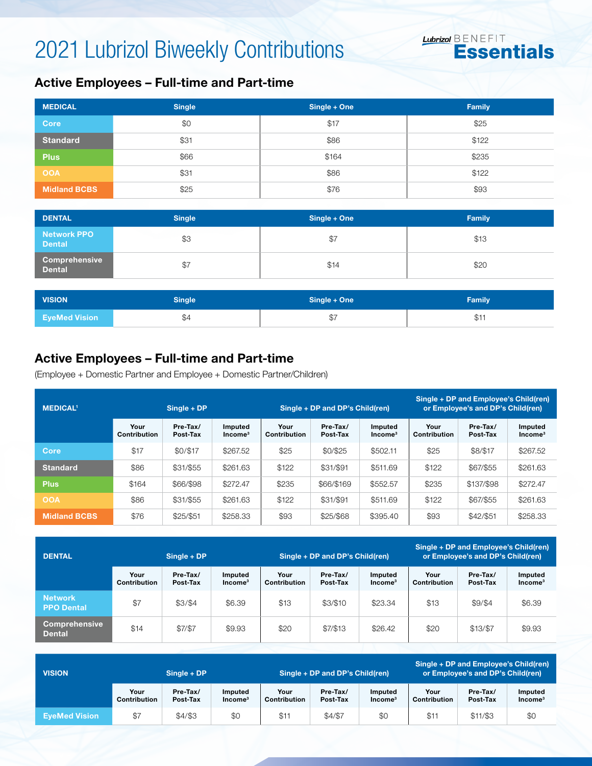## 2021 Lubrizol Biweekly Contributions



### Active Employees – Full-time and Part-time

| <b>MEDICAL</b>      | <b>Single</b> | Single + One | Family |
|---------------------|---------------|--------------|--------|
| <b>Core</b>         | \$0           | \$17         | \$25   |
| <b>Standard</b>     | \$31          | \$86         | \$122  |
| <b>Plus</b>         | \$66          | \$164        | \$235  |
| <b>OOA</b>          | \$31          | \$86         | \$122  |
| <b>Midland BCBS</b> | \$25          | \$76         | \$93   |

| <b>DENTAL</b>                         | <b>Single</b> | Single + One | <b>Family</b> |
|---------------------------------------|---------------|--------------|---------------|
| <b>Network PPO</b><br><b>Dental</b>   | \$3           | \$7          | \$13          |
| <b>Comprehensive</b><br><b>Dental</b> | \$7           | \$14         | \$20          |

| <b>VISION</b>        | <b>Single</b> | Single + One     | <b>Family</b> |  |  |
|----------------------|---------------|------------------|---------------|--|--|
| <b>EveMed Vision</b> | \$4           | $\uparrow$<br>৩। | \$11          |  |  |

### Active Employees – Full-time and Part-time

(Employee + Domestic Partner and Employee + Domestic Partner/Children)

| <b>MEDICAL1</b>     | $Sinale + DP$        |                      |                      |                      | Single + DP and DP's Child(ren) |                      | Single + DP and Employee's Child(ren)<br>or Employee's and DP's Child(ren) |                      |                      |
|---------------------|----------------------|----------------------|----------------------|----------------------|---------------------------------|----------------------|----------------------------------------------------------------------------|----------------------|----------------------|
|                     | Your<br>Contribution | Pre-Tax/<br>Post-Tax | Imputed<br>$Income3$ | Your<br>Contribution | Pre-Tax/<br>Post-Tax            | Imputed<br>$Income3$ | Your<br>Contribution                                                       | Pre-Tax/<br>Post-Tax | Imputed<br>$Income3$ |
| Core                | \$17                 | \$0/\$17             | \$267.52             | \$25                 | \$0/\$25                        | \$502.11             | \$25                                                                       | \$8/\$17             | \$267.52             |
| <b>Standard</b>     | \$86                 | \$31/\$55            | \$261.63             | \$122                | \$31/\$91                       | \$511.69             | \$122                                                                      | \$67/\$55            | \$261.63             |
| <b>Plus</b>         | \$164                | \$66/\$98            | \$272.47             | \$235                | \$66/\$169                      | \$552.57             | \$235                                                                      | \$137/\$98           | \$272.47             |
| <b>OOA</b>          | \$86                 | \$31/\$55            | \$261.63             | \$122                | \$31/\$91                       | \$511.69             | \$122                                                                      | \$67/\$55            | \$261.63             |
| <b>Midland BCBS</b> | \$76                 | \$25/\$51            | \$258.33             | \$93                 | \$25/\$68                       | \$395.40             | \$93                                                                       | \$42/\$51            | \$258.33             |

| <b>DENTAL</b>                         | $Single + DP$        |                      |                                |                      | Single + DP and DP's Child(ren) |                                | Single + DP and Employee's Child(ren)<br>or Employee's and DP's Child(ren) |                      |                      |
|---------------------------------------|----------------------|----------------------|--------------------------------|----------------------|---------------------------------|--------------------------------|----------------------------------------------------------------------------|----------------------|----------------------|
|                                       | Your<br>Contribution | Pre-Tax/<br>Post-Tax | Imputed<br>Income <sup>3</sup> | Your<br>Contribution | Pre-Tax/<br>Post-Tax            | Imputed<br>Income <sup>3</sup> | Your<br>Contribution                                                       | Pre-Tax/<br>Post-Tax | Imputed<br>$Income3$ |
| <b>Network</b><br><b>PPO Dental</b>   | \$7                  | \$3/\$4              | \$6.39                         | \$13                 | \$3/\$10                        | \$23.34                        | \$13                                                                       | \$9/\$4              | \$6.39               |
| <b>Comprehensive</b><br><b>Dental</b> | \$14                 | \$7/\$7              | \$9.93                         | \$20                 | \$7/\$13                        | \$26.42                        | \$20                                                                       | \$13/\$7             | \$9.93               |

| <b>VISION</b>        | $Single + DP$               |                      |                                       | Single + DP and DP's Child(ren) |                      |                                | Single + DP and Employee's Child(ren)<br>or Employee's and DP's Child(ren) |                      |                      |
|----------------------|-----------------------------|----------------------|---------------------------------------|---------------------------------|----------------------|--------------------------------|----------------------------------------------------------------------------|----------------------|----------------------|
|                      | Your<br><b>Contribution</b> | Pre-Tax/<br>Post-Tax | <b>Imputed</b><br>Income <sup>3</sup> | Your<br>Contribution            | Pre-Tax/<br>Post-Tax | Imputed<br>Income <sup>3</sup> | Your<br>Contribution                                                       | Pre-Tax/<br>Post-Tax | Imputed<br>$Income3$ |
| <b>EveMed Vision</b> | \$7                         | \$4/\$3              | \$0                                   | \$11                            | \$4/\$7              | \$0                            | \$1                                                                        | \$11/\$3             | \$0                  |